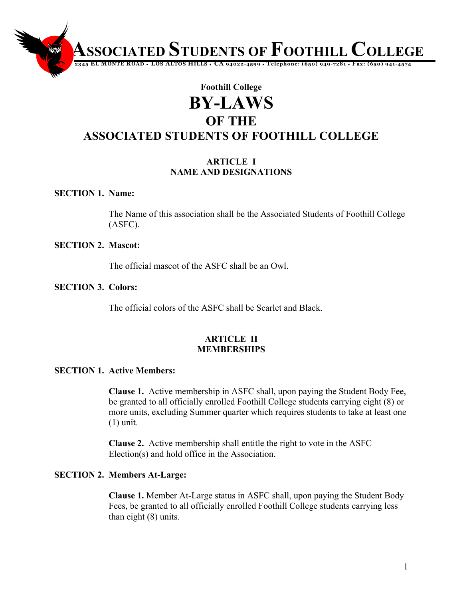#### **12345 EL MONTE ROAD** ♦ **LOS ALTOS HILLS** ♦ **CA 94022-4599** ♦ **Telephone: (650) 949-7281** ♦ **Fax: (650) 941-4574**

# **Foothill College BY-LAWS OF THE ASSOCIATED STUDENTS OF FOOTHILL COLLEGE**

#### **ARTICLE I NAME AND DESIGNATIONS**

#### **SECTION 1. Name:**

The Name of this association shall be the Associated Students of Foothill College (ASFC).

#### **SECTION 2. Mascot:**

The official mascot of the ASFC shall be an Owl.

#### **SECTION 3. Colors:**

The official colors of the ASFC shall be Scarlet and Black.

#### **ARTICLE II MEMBERSHIPS**

#### **SECTION 1. Active Members:**

**Clause 1.** Active membership in ASFC shall, upon paying the Student Body Fee, be granted to all officially enrolled Foothill College students carrying eight (8) or more units, excluding Summer quarter which requires students to take at least one (1) unit.

**Clause 2.** Active membership shall entitle the right to vote in the ASFC Election(s) and hold office in the Association.

#### **SECTION 2. Members At-Large:**

**Clause 1.** Member At-Large status in ASFC shall, upon paying the Student Body Fees, be granted to all officially enrolled Foothill College students carrying less than eight (8) units.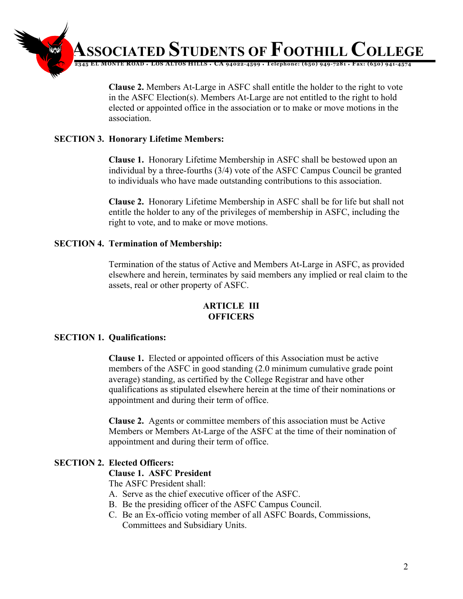

**Clause 2.** Members At-Large in ASFC shall entitle the holder to the right to vote in the ASFC Election(s). Members At-Large are not entitled to the right to hold elected or appointed office in the association or to make or move motions in the association.

#### **SECTION 3. Honorary Lifetime Members:**

**Clause 1.** Honorary Lifetime Membership in ASFC shall be bestowed upon an individual by a three-fourths (3/4) vote of the ASFC Campus Council be granted to individuals who have made outstanding contributions to this association.

**Clause 2.** Honorary Lifetime Membership in ASFC shall be for life but shall not entitle the holder to any of the privileges of membership in ASFC, including the right to vote, and to make or move motions.

#### **SECTION 4. Termination of Membership:**

Termination of the status of Active and Members At-Large in ASFC, as provided elsewhere and herein, terminates by said members any implied or real claim to the assets, real or other property of ASFC.

#### **ARTICLE III OFFICERS**

#### **SECTION 1. Qualifications:**

**Clause 1.** Elected or appointed officers of this Association must be active members of the ASFC in good standing (2.0 minimum cumulative grade point average) standing, as certified by the College Registrar and have other qualifications as stipulated elsewhere herein at the time of their nominations or appointment and during their term of office.

**Clause 2.** Agents or committee members of this association must be Active Members or Members At-Large of the ASFC at the time of their nomination of appointment and during their term of office.

# **SECTION 2. Elected Officers:**

#### **Clause 1. ASFC President**

The ASFC President shall:

- A. Serve as the chief executive officer of the ASFC.
- B. Be the presiding officer of the ASFC Campus Council.
- C. Be an Ex-officio voting member of all ASFC Boards, Commissions, Committees and Subsidiary Units.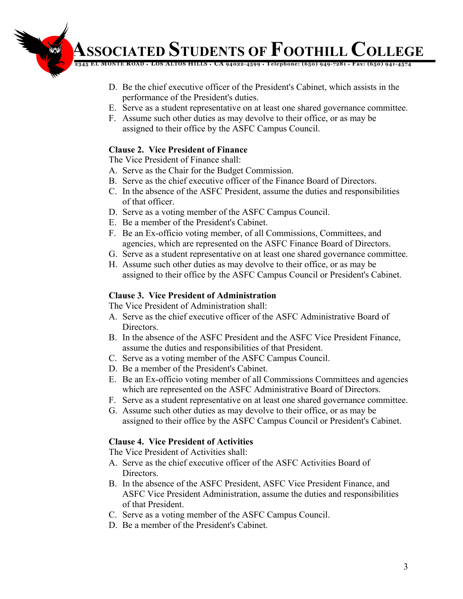**12345 EL MONTE ROAD** ♦ **LOS ALTOS HILLS** ♦ **CA 94022-4599** ♦ **Telephone: (650) 949-7281** ♦ **Fax: (650) 941-4574**

- D. Be the chief executive officer of the President's Cabinet, which assists in the performance of the President's duties.
- E. Serve as a student representative on at least one shared governance committee.
- F. Assume such other duties as may devolve to their office, or as may be assigned to their office by the ASFC Campus Council.

# **Clause 2. Vice President of Finance**

The Vice President of Finance shall:

- A. Serve as the Chair for the Budget Commission.
- B. Serve as the chief executive officer of the Finance Board of Directors.
- C. In the absence of the ASFC President, assume the duties and responsibilities of that officer.
- D. Serve as a voting member of the ASFC Campus Council.
- E. Be a member of the President's Cabinet.
- F. Be an Ex-officio voting member, of all Commissions, Committees, and agencies, which are represented on the ASFC Finance Board of Directors.
- G. Serve as a student representative on at least one shared governance committee.
- H. Assume such other duties as may devolve to their office, or as may be assigned to their office by the ASFC Campus Council or President's Cabinet.

# **Clause 3. Vice President of Administration**

The Vice President of Administration shall:

- A. Serve as the chief executive officer of the ASFC Administrative Board of Directors.
- B. In the absence of the ASFC President and the ASFC Vice President Finance, assume the duties and responsibilities of that President.
- C. Serve as a voting member of the ASFC Campus Council.
- D. Be a member of the President's Cabinet.
- E. Be an Ex-officio voting member of all Commissions Committees and agencies which are represented on the ASFC Administrative Board of Directors.
- F. Serve as a student representative on at least one shared governance committee.
- G. Assume such other duties as may devolve to their office, or as may be assigned to their office by the ASFC Campus Council or President's Cabinet.

# **Clause 4. Vice President of Activities**

The Vice President of Activities shall:

- A. Serve as the chief executive officer of the ASFC Activities Board of **Directors**
- B. In the absence of the ASFC President, ASFC Vice President Finance, and ASFC Vice President Administration, assume the duties and responsibilities of that President.
- C. Serve as a voting member of the ASFC Campus Council.
- D. Be a member of the President's Cabinet.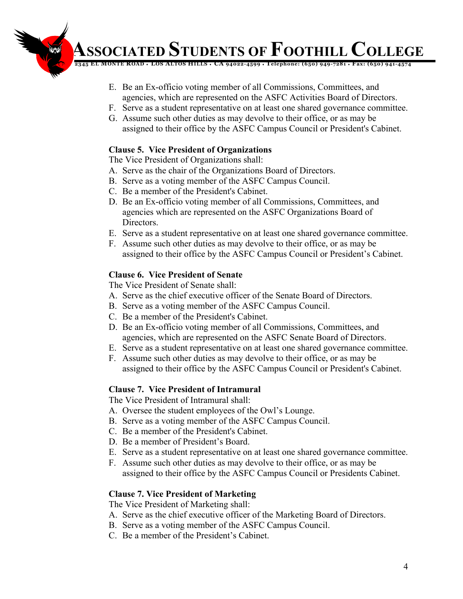**12345 EL MONTE ROAD** ♦ **LOS ALTOS HILLS** ♦ **CA 94022-4599** ♦ **Telephone: (650) 949-7281** ♦ **Fax: (650) 941-4574**

- E. Be an Ex-officio voting member of all Commissions, Committees, and agencies, which are represented on the ASFC Activities Board of Directors.
- F. Serve as a student representative on at least one shared governance committee.
- G. Assume such other duties as may devolve to their office, or as may be assigned to their office by the ASFC Campus Council or President's Cabinet.

# **Clause 5. Vice President of Organizations**

The Vice President of Organizations shall:

- A. Serve as the chair of the Organizations Board of Directors.
- B. Serve as a voting member of the ASFC Campus Council.
- C. Be a member of the President's Cabinet.
- D. Be an Ex-officio voting member of all Commissions, Committees, and agencies which are represented on the ASFC Organizations Board of Directors.
- E. Serve as a student representative on at least one shared governance committee.
- F. Assume such other duties as may devolve to their office, or as may be assigned to their office by the ASFC Campus Council or President's Cabinet.

# **Clause 6. Vice President of Senate**

The Vice President of Senate shall:

- A. Serve as the chief executive officer of the Senate Board of Directors.
- B. Serve as a voting member of the ASFC Campus Council.
- C. Be a member of the President's Cabinet.
- D. Be an Ex-officio voting member of all Commissions, Committees, and agencies, which are represented on the ASFC Senate Board of Directors.
- E. Serve as a student representative on at least one shared governance committee.
- F. Assume such other duties as may devolve to their office, or as may be assigned to their office by the ASFC Campus Council or President's Cabinet.

# **Clause 7. Vice President of Intramural**

The Vice President of Intramural shall:

- A. Oversee the student employees of the Owl's Lounge.
- B. Serve as a voting member of the ASFC Campus Council.
- C. Be a member of the President's Cabinet.
- D. Be a member of President's Board.
- E. Serve as a student representative on at least one shared governance committee.
- F. Assume such other duties as may devolve to their office, or as may be assigned to their office by the ASFC Campus Council or Presidents Cabinet.

# **Clause 7. Vice President of Marketing**

The Vice President of Marketing shall:

- A. Serve as the chief executive officer of the Marketing Board of Directors.
- B. Serve as a voting member of the ASFC Campus Council.
- C. Be a member of the President's Cabinet.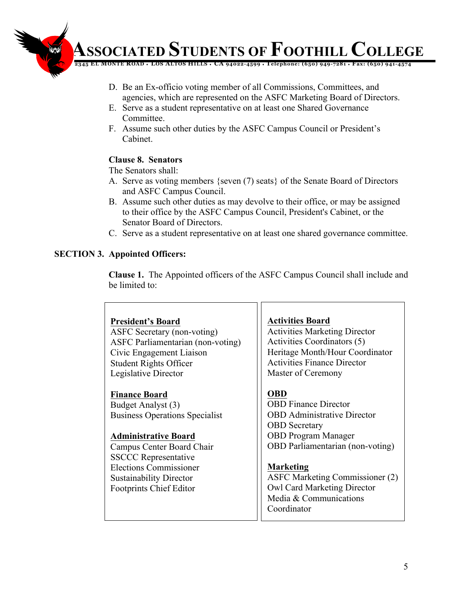

- D. Be an Ex-officio voting member of all Commissions, Committees, and agencies, which are represented on the ASFC Marketing Board of Directors.
- E. Serve as a student representative on at least one Shared Governance Committee.
- F. Assume such other duties by the ASFC Campus Council or President's Cabinet.

# **Clause 8. Senators**

The Senators shall:

- A. Serve as voting members {seven (7) seats} of the Senate Board of Directors and ASFC Campus Council.
- B. Assume such other duties as may devolve to their office, or may be assigned to their office by the ASFC Campus Council, President's Cabinet, or the Senator Board of Directors.
- C. Serve as a student representative on at least one shared governance committee.

# **SECTION 3. Appointed Officers:**

**Clause 1.** The Appointed officers of the ASFC Campus Council shall include and be limited to:

# **President's Board**

ASFC Secretary (non-voting) ASFC Parliamentarian (non-voting) Civic Engagement Liaison Student Rights Officer Legislative Director

# **Finance Board**

Budget Analyst (3) Business Operations Specialist

# **Administrative Board**

Campus Center Board Chair SSCCC Representative Elections Commissioner Sustainability Director Footprints Chief Editor

# **Activities Board**

Activities Marketing Director Activities Coordinators (5) Heritage Month/Hour Coordinator Activities Finance Director Master of Ceremony

# **OBD**

OBD Finance Director OBD Administrative Director OBD Secretary OBD Program Manager OBD Parliamentarian (non-voting)

# **Marketing**

ASFC Marketing Commissioner (2) Owl Card Marketing Director Media & Communications Coordinator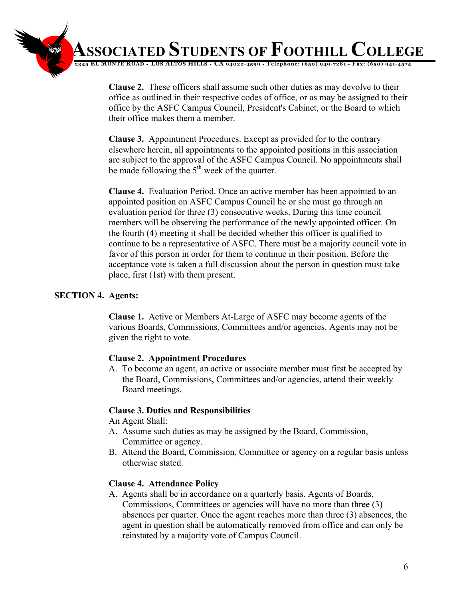

**Clause 2.** These officers shall assume such other duties as may devolve to their office as outlined in their respective codes of office, or as may be assigned to their office by the ASFC Campus Council, President's Cabinet, or the Board to which their office makes them a member.

**Clause 3.** Appointment Procedures. Except as provided for to the contrary elsewhere herein, all appointments to the appointed positions in this association are subject to the approval of the ASFC Campus Council. No appointments shall be made following the  $5<sup>th</sup>$  week of the quarter.

**Clause 4.** Evaluation Period. Once an active member has been appointed to an appointed position on ASFC Campus Council he or she must go through an evaluation period for three (3) consecutive weeks. During this time council members will be observing the performance of the newly appointed officer. On the fourth (4) meeting it shall be decided whether this officer is qualified to continue to be a representative of ASFC. There must be a majority council vote in favor of this person in order for them to continue in their position. Before the acceptance vote is taken a full discussion about the person in question must take place, first (1st) with them present.

#### **SECTION 4. Agents:**

**Clause 1.** Active or Members At-Large of ASFC may become agents of the various Boards, Commissions, Committees and/or agencies. Agents may not be given the right to vote.

#### **Clause 2. Appointment Procedures**

A. To become an agent, an active or associate member must first be accepted by the Board, Commissions, Committees and/or agencies, attend their weekly Board meetings.

# **Clause 3. Duties and Responsibilities**

An Agent Shall:

- A. Assume such duties as may be assigned by the Board, Commission, Committee or agency.
- B. Attend the Board, Commission, Committee or agency on a regular basis unless otherwise stated.

# **Clause 4. Attendance Policy**

A. Agents shall be in accordance on a quarterly basis. Agents of Boards, Commissions, Committees or agencies will have no more than three (3) absences per quarter. Once the agent reaches more than three (3) absences, the agent in question shall be automatically removed from office and can only be reinstated by a majority vote of Campus Council.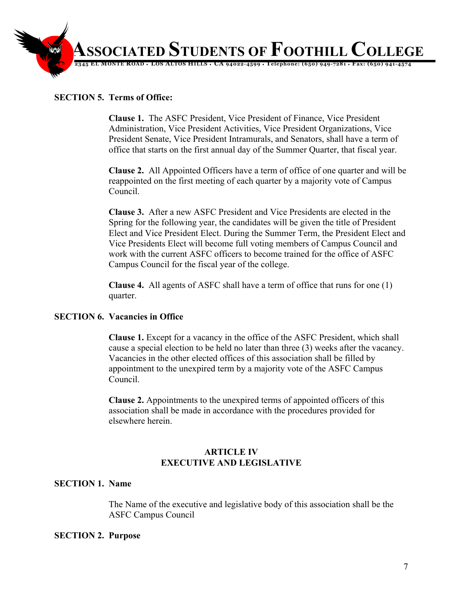

# **SECTION 5. Terms of Office:**

**Clause 1.** The ASFC President, Vice President of Finance, Vice President Administration, Vice President Activities, Vice President Organizations, Vice President Senate, Vice President Intramurals, and Senators, shall have a term of office that starts on the first annual day of the Summer Quarter, that fiscal year.

**Clause 2.** All Appointed Officers have a term of office of one quarter and will be reappointed on the first meeting of each quarter by a majority vote of Campus Council.

**Clause 3.** After a new ASFC President and Vice Presidents are elected in the Spring for the following year, the candidates will be given the title of President Elect and Vice President Elect. During the Summer Term, the President Elect and Vice Presidents Elect will become full voting members of Campus Council and work with the current ASFC officers to become trained for the office of ASFC Campus Council for the fiscal year of the college.

**Clause 4.** All agents of ASFC shall have a term of office that runs for one (1) quarter.

#### **SECTION 6. Vacancies in Office**

**Clause 1.** Except for a vacancy in the office of the ASFC President, which shall cause a special election to be held no later than three (3) weeks after the vacancy. Vacancies in the other elected offices of this association shall be filled by appointment to the unexpired term by a majority vote of the ASFC Campus Council.

**Clause 2.** Appointments to the unexpired terms of appointed officers of this association shall be made in accordance with the procedures provided for elsewhere herein.

#### **ARTICLE IV EXECUTIVE AND LEGISLATIVE**

#### **SECTION 1. Name**

The Name of the executive and legislative body of this association shall be the ASFC Campus Council

#### **SECTION 2. Purpose**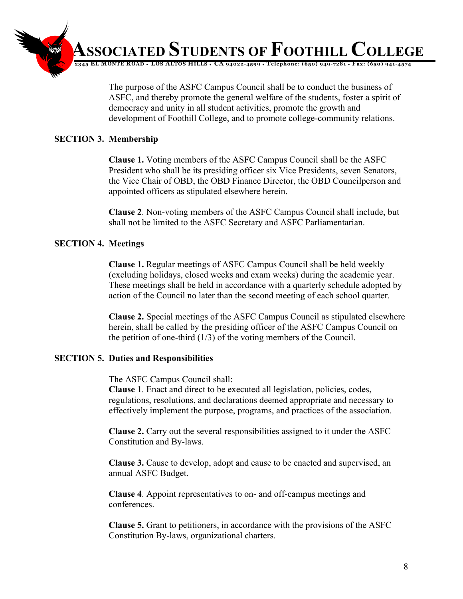

The purpose of the ASFC Campus Council shall be to conduct the business of ASFC, and thereby promote the general welfare of the students, foster a spirit of democracy and unity in all student activities, promote the growth and development of Foothill College, and to promote college-community relations.

# **SECTION 3. Membership**

**Clause 1.** Voting members of the ASFC Campus Council shall be the ASFC President who shall be its presiding officer six Vice Presidents, seven Senators, the Vice Chair of OBD, the OBD Finance Director, the OBD Councilperson and appointed officers as stipulated elsewhere herein.

**Clause 2**. Non-voting members of the ASFC Campus Council shall include, but shall not be limited to the ASFC Secretary and ASFC Parliamentarian.

# **SECTION 4. Meetings**

**Clause 1.** Regular meetings of ASFC Campus Council shall be held weekly (excluding holidays, closed weeks and exam weeks) during the academic year. These meetings shall be held in accordance with a quarterly schedule adopted by action of the Council no later than the second meeting of each school quarter.

**Clause 2.** Special meetings of the ASFC Campus Council as stipulated elsewhere herein, shall be called by the presiding officer of the ASFC Campus Council on the petition of one-third (1/3) of the voting members of the Council.

# **SECTION 5. Duties and Responsibilities**

The ASFC Campus Council shall:

**Clause 1**. Enact and direct to be executed all legislation, policies, codes, regulations, resolutions, and declarations deemed appropriate and necessary to effectively implement the purpose, programs, and practices of the association.

**Clause 2.** Carry out the several responsibilities assigned to it under the ASFC Constitution and By-laws.

**Clause 3.** Cause to develop, adopt and cause to be enacted and supervised, an annual ASFC Budget.

**Clause 4**. Appoint representatives to on- and off-campus meetings and conferences.

**Clause 5.** Grant to petitioners, in accordance with the provisions of the ASFC Constitution By-laws, organizational charters.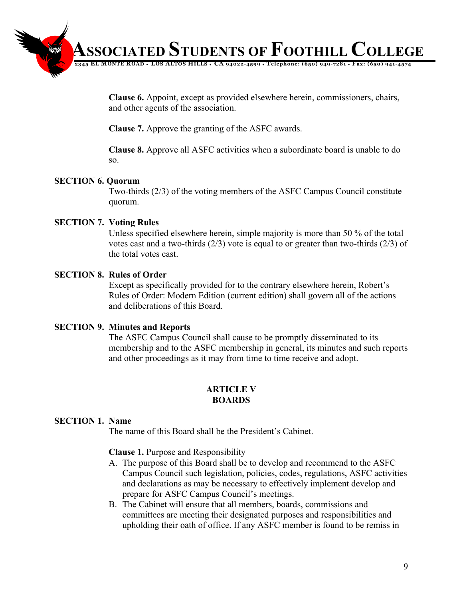

**Clause 6.** Appoint, except as provided elsewhere herein, commissioners, chairs, and other agents of the association.

**Clause 7.** Approve the granting of the ASFC awards.

**Clause 8.** Approve all ASFC activities when a subordinate board is unable to do so.

# **SECTION 6. Quorum**

Two-thirds (2/3) of the voting members of the ASFC Campus Council constitute quorum.

# **SECTION 7. Voting Rules**

Unless specified elsewhere herein, simple majority is more than 50 % of the total votes cast and a two-thirds (2/3) vote is equal to or greater than two-thirds (2/3) of the total votes cast.

#### **SECTION 8. Rules of Order**

Except as specifically provided for to the contrary elsewhere herein, Robert's Rules of Order: Modern Edition (current edition) shall govern all of the actions and deliberations of this Board.

#### **SECTION 9. Minutes and Reports**

The ASFC Campus Council shall cause to be promptly disseminated to its membership and to the ASFC membership in general, its minutes and such reports and other proceedings as it may from time to time receive and adopt.

# **ARTICLE V BOARDS**

# **SECTION 1. Name**

The name of this Board shall be the President's Cabinet.

#### **Clause 1.** Purpose and Responsibility

- A. The purpose of this Board shall be to develop and recommend to the ASFC Campus Council such legislation, policies, codes, regulations, ASFC activities and declarations as may be necessary to effectively implement develop and prepare for ASFC Campus Council's meetings.
- B. The Cabinet will ensure that all members, boards, commissions and committees are meeting their designated purposes and responsibilities and upholding their oath of office. If any ASFC member is found to be remiss in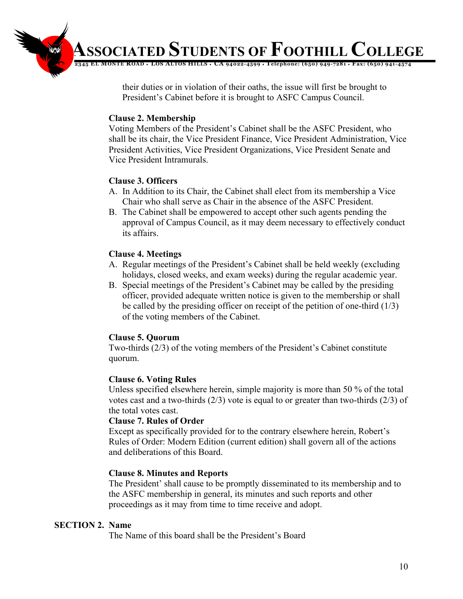

their duties or in violation of their oaths, the issue will first be brought to President's Cabinet before it is brought to ASFC Campus Council.

# **Clause 2. Membership**

Voting Members of the President's Cabinet shall be the ASFC President, who shall be its chair, the Vice President Finance, Vice President Administration, Vice President Activities, Vice President Organizations, Vice President Senate and Vice President Intramurals.

# **Clause 3. Officers**

- A. In Addition to its Chair, the Cabinet shall elect from its membership a Vice Chair who shall serve as Chair in the absence of the ASFC President.
- B. The Cabinet shall be empowered to accept other such agents pending the approval of Campus Council, as it may deem necessary to effectively conduct its affairs.

# **Clause 4. Meetings**

- A. Regular meetings of the President's Cabinet shall be held weekly (excluding holidays, closed weeks, and exam weeks) during the regular academic year.
- B. Special meetings of the President's Cabinet may be called by the presiding officer, provided adequate written notice is given to the membership or shall be called by the presiding officer on receipt of the petition of one-third (1/3) of the voting members of the Cabinet.

# **Clause 5. Quorum**

Two-thirds (2/3) of the voting members of the President's Cabinet constitute quorum.

# **Clause 6. Voting Rules**

Unless specified elsewhere herein, simple majority is more than 50 % of the total votes cast and a two-thirds (2/3) vote is equal to or greater than two-thirds (2/3) of the total votes cast.

# **Clause 7. Rules of Order**

Except as specifically provided for to the contrary elsewhere herein, Robert's Rules of Order: Modern Edition (current edition) shall govern all of the actions and deliberations of this Board.

# **Clause 8. Minutes and Reports**

The President' shall cause to be promptly disseminated to its membership and to the ASFC membership in general, its minutes and such reports and other proceedings as it may from time to time receive and adopt.

# **SECTION 2. Name**

The Name of this board shall be the President's Board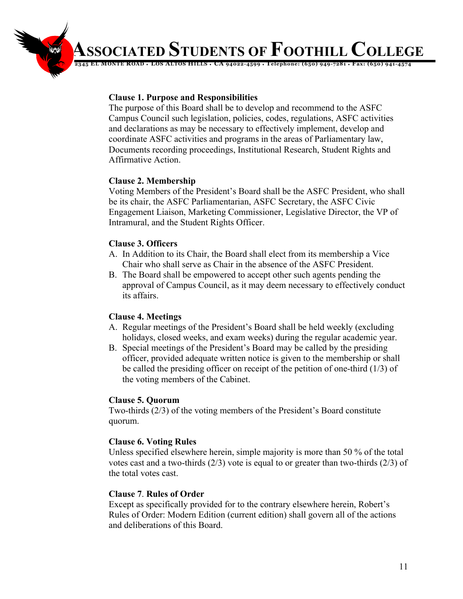**12345 EL MONTE ROAD** ♦ **LOS ALTOS HILLS** ♦ **CA 94022-4599** ♦ **Telephone: (650) 949-7281** ♦ **Fax: (650) 941-4574**

# **Clause 1. Purpose and Responsibilities**

The purpose of this Board shall be to develop and recommend to the ASFC Campus Council such legislation, policies, codes, regulations, ASFC activities and declarations as may be necessary to effectively implement, develop and coordinate ASFC activities and programs in the areas of Parliamentary law, Documents recording proceedings, Institutional Research, Student Rights and Affirmative Action.

# **Clause 2. Membership**

Voting Members of the President's Board shall be the ASFC President, who shall be its chair, the ASFC Parliamentarian, ASFC Secretary, the ASFC Civic Engagement Liaison, Marketing Commissioner, Legislative Director, the VP of Intramural, and the Student Rights Officer.

# **Clause 3. Officers**

- A. In Addition to its Chair, the Board shall elect from its membership a Vice Chair who shall serve as Chair in the absence of the ASFC President.
- B. The Board shall be empowered to accept other such agents pending the approval of Campus Council, as it may deem necessary to effectively conduct its affairs.

# **Clause 4. Meetings**

- A. Regular meetings of the President's Board shall be held weekly (excluding holidays, closed weeks, and exam weeks) during the regular academic year.
- B. Special meetings of the President's Board may be called by the presiding officer, provided adequate written notice is given to the membership or shall be called the presiding officer on receipt of the petition of one-third (1/3) of the voting members of the Cabinet.

# **Clause 5. Quorum**

Two-thirds (2/3) of the voting members of the President's Board constitute quorum.

# **Clause 6. Voting Rules**

Unless specified elsewhere herein, simple majority is more than 50 % of the total votes cast and a two-thirds (2/3) vote is equal to or greater than two-thirds (2/3) of the total votes cast.

# **Clause 7**. **Rules of Order**

Except as specifically provided for to the contrary elsewhere herein, Robert's Rules of Order: Modern Edition (current edition) shall govern all of the actions and deliberations of this Board.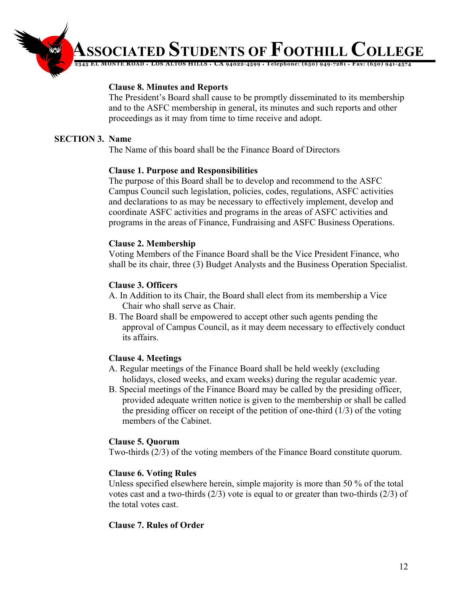# **12345 EL MONTE ROAD** ♦ **LOS ALTOS HILLS** ♦ **CA 94022-4599** ♦ **Telephone: (650) 949-7281** ♦ **Fax: (650) 941-4574**

#### **Clause 8. Minutes and Reports**

The President's Board shall cause to be promptly disseminated to its membership and to the ASFC membership in general, its minutes and such reports and other proceedings as it may from time to time receive and adopt.

#### **SECTION 3. Name**

The Name of this board shall be the Finance Board of Directors

#### **Clause 1. Purpose and Responsibilities**

The purpose of this Board shall be to develop and recommend to the ASFC Campus Council such legislation, policies, codes, regulations, ASFC activities and declarations to as may be necessary to effectively implement, develop and coordinate ASFC activities and programs in the areas of ASFC activities and programs in the areas of Finance, Fundraising and ASFC Business Operations.

#### **Clause 2. Membership**

Voting Members of the Finance Board shall be the Vice President Finance, who shall be its chair, three (3) Budget Analysts and the Business Operation Specialist.

#### **Clause 3. Officers**

- A. In Addition to its Chair, the Board shall elect from its membership a Vice Chair who shall serve as Chair.
- B. The Board shall be empowered to accept other such agents pending the approval of Campus Council, as it may deem necessary to effectively conduct its affairs.

# **Clause 4. Meetings**

- A. Regular meetings of the Finance Board shall be held weekly (excluding holidays, closed weeks, and exam weeks) during the regular academic year.
- B. Special meetings of the Finance Board may be called by the presiding officer, provided adequate written notice is given to the membership or shall be called the presiding officer on receipt of the petition of one-third  $(1/3)$  of the voting members of the Cabinet.

#### **Clause 5. Quorum**

Two-thirds (2/3) of the voting members of the Finance Board constitute quorum.

#### **Clause 6. Voting Rules**

Unless specified elsewhere herein, simple majority is more than 50 % of the total votes cast and a two-thirds (2/3) vote is equal to or greater than two-thirds (2/3) of the total votes cast.

#### **Clause 7. Rules of Order**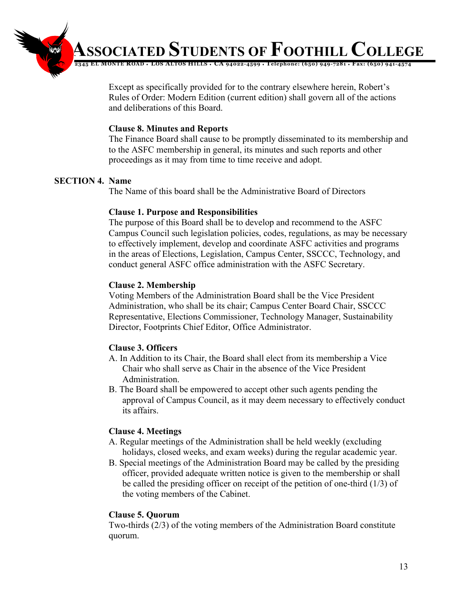**12345 EL MONTE ROAD** ♦ **LOS ALTOS HILLS** ♦ **CA 94022-4599** ♦ **Telephone: (650) 949-7281** ♦ **Fax: (650) 941-4574**

Except as specifically provided for to the contrary elsewhere herein, Robert's Rules of Order: Modern Edition (current edition) shall govern all of the actions and deliberations of this Board.

#### **Clause 8. Minutes and Reports**

The Finance Board shall cause to be promptly disseminated to its membership and to the ASFC membership in general, its minutes and such reports and other proceedings as it may from time to time receive and adopt.

#### **SECTION 4. Name**

The Name of this board shall be the Administrative Board of Directors

#### **Clause 1. Purpose and Responsibilities**

The purpose of this Board shall be to develop and recommend to the ASFC Campus Council such legislation policies, codes, regulations, as may be necessary to effectively implement, develop and coordinate ASFC activities and programs in the areas of Elections, Legislation, Campus Center, SSCCC, Technology, and conduct general ASFC office administration with the ASFC Secretary.

# **Clause 2. Membership**

Voting Members of the Administration Board shall be the Vice President Administration, who shall be its chair; Campus Center Board Chair, SSCCC Representative, Elections Commissioner, Technology Manager, Sustainability Director, Footprints Chief Editor, Office Administrator.

# **Clause 3. Officers**

- A. In Addition to its Chair, the Board shall elect from its membership a Vice Chair who shall serve as Chair in the absence of the Vice President Administration.
- B. The Board shall be empowered to accept other such agents pending the approval of Campus Council, as it may deem necessary to effectively conduct its affairs.

#### **Clause 4. Meetings**

- A. Regular meetings of the Administration shall be held weekly (excluding holidays, closed weeks, and exam weeks) during the regular academic year.
- B. Special meetings of the Administration Board may be called by the presiding officer, provided adequate written notice is given to the membership or shall be called the presiding officer on receipt of the petition of one-third (1/3) of the voting members of the Cabinet.

#### **Clause 5. Quorum**

Two-thirds (2/3) of the voting members of the Administration Board constitute quorum.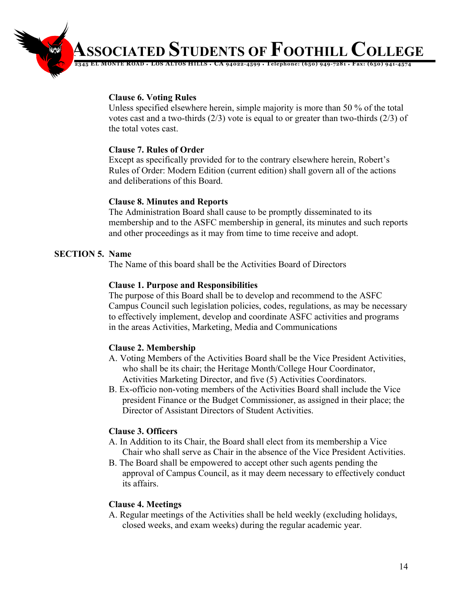**12345 EL MONTE ROAD** ♦ **LOS ALTOS HILLS** ♦ **CA 94022-4599** ♦ **Telephone: (650) 949-7281** ♦ **Fax: (650) 941-4574**

#### **Clause 6. Voting Rules**

Unless specified elsewhere herein, simple majority is more than 50 % of the total votes cast and a two-thirds (2/3) vote is equal to or greater than two-thirds (2/3) of the total votes cast.

#### **Clause 7. Rules of Order**

Except as specifically provided for to the contrary elsewhere herein, Robert's Rules of Order: Modern Edition (current edition) shall govern all of the actions and deliberations of this Board.

#### **Clause 8. Minutes and Reports**

The Administration Board shall cause to be promptly disseminated to its membership and to the ASFC membership in general, its minutes and such reports and other proceedings as it may from time to time receive and adopt.

# **SECTION 5. Name**

The Name of this board shall be the Activities Board of Directors

# **Clause 1. Purpose and Responsibilities**

The purpose of this Board shall be to develop and recommend to the ASFC Campus Council such legislation policies, codes, regulations, as may be necessary to effectively implement, develop and coordinate ASFC activities and programs in the areas Activities, Marketing, Media and Communications

# **Clause 2. Membership**

- A. Voting Members of the Activities Board shall be the Vice President Activities, who shall be its chair; the Heritage Month/College Hour Coordinator, Activities Marketing Director, and five (5) Activities Coordinators.
- B. Ex-officio non-voting members of the Activities Board shall include the Vice president Finance or the Budget Commissioner, as assigned in their place; the Director of Assistant Directors of Student Activities.

# **Clause 3. Officers**

- A. In Addition to its Chair, the Board shall elect from its membership a Vice Chair who shall serve as Chair in the absence of the Vice President Activities.
- B. The Board shall be empowered to accept other such agents pending the approval of Campus Council, as it may deem necessary to effectively conduct its affairs.

# **Clause 4. Meetings**

A. Regular meetings of the Activities shall be held weekly (excluding holidays, closed weeks, and exam weeks) during the regular academic year.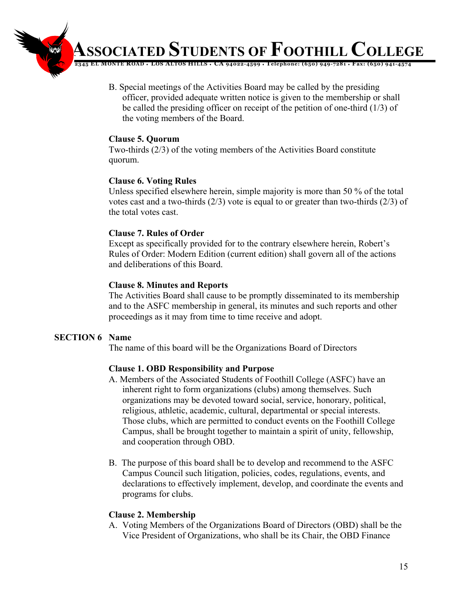- **12345 EL MONTE ROAD** ♦ **LOS ALTOS HILLS** ♦ **CA 94022-4599** ♦ **Telephone: (650) 949-7281** ♦ **Fax: (650) 941-4574**
	- B. Special meetings of the Activities Board may be called by the presiding officer, provided adequate written notice is given to the membership or shall be called the presiding officer on receipt of the petition of one-third (1/3) of the voting members of the Board.

#### **Clause 5. Quorum**

Two-thirds (2/3) of the voting members of the Activities Board constitute quorum.

# **Clause 6. Voting Rules**

Unless specified elsewhere herein, simple majority is more than 50 % of the total votes cast and a two-thirds (2/3) vote is equal to or greater than two-thirds (2/3) of the total votes cast.

# **Clause 7. Rules of Order**

Except as specifically provided for to the contrary elsewhere herein, Robert's Rules of Order: Modern Edition (current edition) shall govern all of the actions and deliberations of this Board.

# **Clause 8. Minutes and Reports**

The Activities Board shall cause to be promptly disseminated to its membership and to the ASFC membership in general, its minutes and such reports and other proceedings as it may from time to time receive and adopt.

# **SECTION 6 Name**

The name of this board will be the Organizations Board of Directors

# **Clause 1. OBD Responsibility and Purpose**

- A. Members of the Associated Students of Foothill College (ASFC) have an inherent right to form organizations (clubs) among themselves. Such organizations may be devoted toward social, service, honorary, political, religious, athletic, academic, cultural, departmental or special interests. Those clubs, which are permitted to conduct events on the Foothill College Campus, shall be brought together to maintain a spirit of unity, fellowship, and cooperation through OBD.
- B. The purpose of this board shall be to develop and recommend to the ASFC Campus Council such litigation, policies, codes, regulations, events, and declarations to effectively implement, develop, and coordinate the events and programs for clubs.

# **Clause 2. Membership**

A. Voting Members of the Organizations Board of Directors (OBD) shall be the Vice President of Organizations, who shall be its Chair, the OBD Finance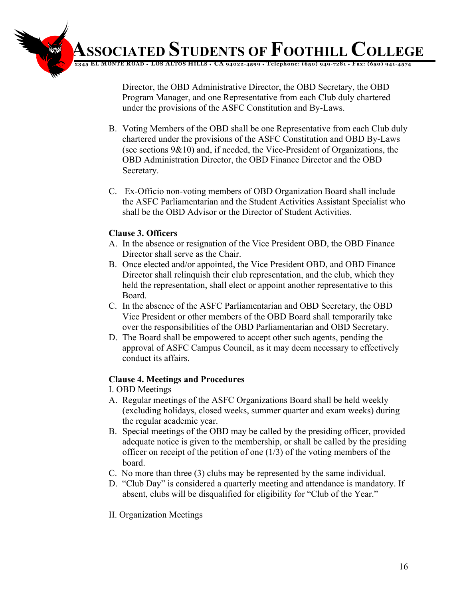**12345 EL MONTE ROAD** ♦ **LOS ALTOS HILLS** ♦ **CA 94022-4599** ♦ **Telephone: (650) 949-7281** ♦ **Fax: (650) 941-4574 ASSOCIATED STUDENTS OF FOOTHILL COLLEGE**

> Director, the OBD Administrative Director, the OBD Secretary, the OBD Program Manager, and one Representative from each Club duly chartered under the provisions of the ASFC Constitution and By-Laws.

- B. Voting Members of the OBD shall be one Representative from each Club duly chartered under the provisions of the ASFC Constitution and OBD By-Laws (see sections 9&10) and, if needed, the Vice-President of Organizations, the OBD Administration Director, the OBD Finance Director and the OBD Secretary.
- C. Ex-Officio non-voting members of OBD Organization Board shall include the ASFC Parliamentarian and the Student Activities Assistant Specialist who shall be the OBD Advisor or the Director of Student Activities.

# **Clause 3. Officers**

- A. In the absence or resignation of the Vice President OBD, the OBD Finance Director shall serve as the Chair.
- B. Once elected and/or appointed, the Vice President OBD, and OBD Finance Director shall relinquish their club representation, and the club, which they held the representation, shall elect or appoint another representative to this Board.
- C. In the absence of the ASFC Parliamentarian and OBD Secretary, the OBD Vice President or other members of the OBD Board shall temporarily take over the responsibilities of the OBD Parliamentarian and OBD Secretary.
- D. The Board shall be empowered to accept other such agents, pending the approval of ASFC Campus Council, as it may deem necessary to effectively conduct its affairs.

# **Clause 4. Meetings and Procedures**

I. OBD Meetings

- A. Regular meetings of the ASFC Organizations Board shall be held weekly (excluding holidays, closed weeks, summer quarter and exam weeks) during the regular academic year.
- B. Special meetings of the OBD may be called by the presiding officer, provided adequate notice is given to the membership, or shall be called by the presiding officer on receipt of the petition of one  $(1/3)$  of the voting members of the board.
- C. No more than three (3) clubs may be represented by the same individual.
- D. "Club Day" is considered a quarterly meeting and attendance is mandatory. If absent, clubs will be disqualified for eligibility for "Club of the Year."
- II. Organization Meetings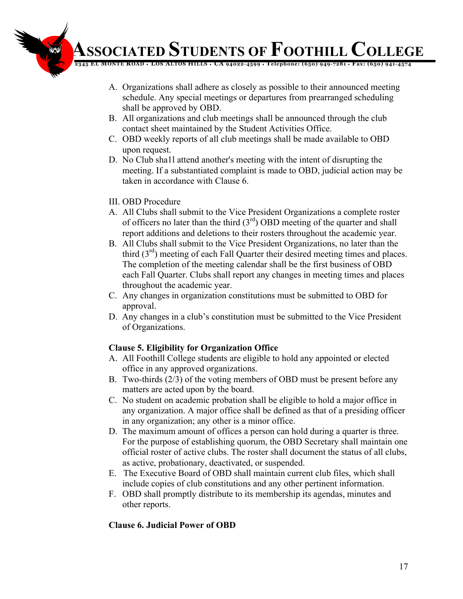**12345 EL MONTE ROAD** ♦ **LOS ALTOS HILLS** ♦ **CA 94022-4599** ♦ **Telephone: (650) 949-7281** ♦ **Fax: (650) 941-4574**

- A. Organizations shall adhere as closely as possible to their announced meeting schedule. Any special meetings or departures from prearranged scheduling shall be approved by OBD.
- B. All organizations and club meetings shall be announced through the club contact sheet maintained by the Student Activities Office.
- C. OBD weekly reports of all club meetings shall be made available to OBD upon request.
- D. No Club sha1l attend another's meeting with the intent of disrupting the meeting. If a substantiated complaint is made to OBD, judicial action may be taken in accordance with Clause 6.
- III. OBD Procedure
- A. All Clubs shall submit to the Vice President Organizations a complete roster of officers no later than the third  $(3<sup>rd</sup>)$  OBD meeting of the quarter and shall report additions and deletions to their rosters throughout the academic year.
- B. All Clubs shall submit to the Vice President Organizations, no later than the third  $(3<sup>rd</sup>)$  meeting of each Fall Quarter their desired meeting times and places. The completion of the meeting calendar shall be the first business of OBD each Fall Quarter. Clubs shall report any changes in meeting times and places throughout the academic year.
- C. Any changes in organization constitutions must be submitted to OBD for approval.
- D. Any changes in a club's constitution must be submitted to the Vice President of Organizations.

# **Clause 5. Eligibility for Organization Office**

- A. All Foothill College students are eligible to hold any appointed or elected office in any approved organizations.
- B. Two-thirds (2/3) of the voting members of OBD must be present before any matters are acted upon by the board.
- C. No student on academic probation shall be eligible to hold a major office in any organization. A major office shall be defined as that of a presiding officer in any organization; any other is a minor office.
- D. The maximum amount of offices a person can hold during a quarter is three. For the purpose of establishing quorum, the OBD Secretary shall maintain one official roster of active clubs. The roster shall document the status of all clubs, as active, probationary, deactivated, or suspended.
- E. The Executive Board of OBD shall maintain current club files, which shall include copies of club constitutions and any other pertinent information.
- F. OBD shall promptly distribute to its membership its agendas, minutes and other reports.

# **Clause 6. Judicial Power of OBD**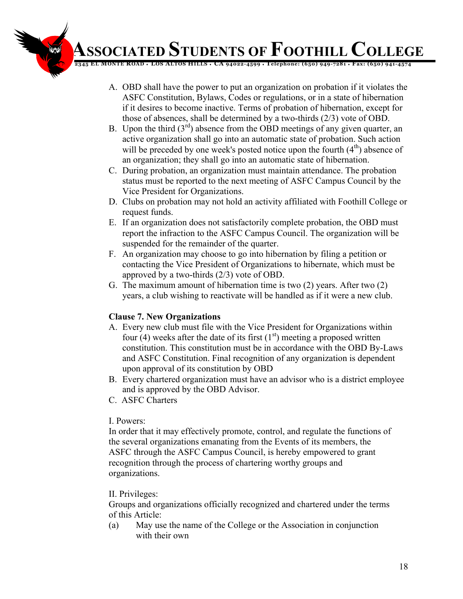**12345 EL MONTE ROAD** ♦ **LOS ALTOS HILLS** ♦ **CA 94022-4599** ♦ **Telephone: (650) 949-7281** ♦ **Fax: (650) 941-4574**

- A. OBD shall have the power to put an organization on probation if it violates the ASFC Constitution, Bylaws, Codes or regulations, or in a state of hibernation if it desires to become inactive. Terms of probation of hibernation, except for those of absences, shall be determined by a two-thirds (2/3) vote of OBD.
- B. Upon the third  $(3<sup>rd</sup>)$  absence from the OBD meetings of any given quarter, an active organization shall go into an automatic state of probation. Such action will be preceded by one week's posted notice upon the fourth  $(4<sup>th</sup>)$  absence of an organization; they shall go into an automatic state of hibernation.
- C. During probation, an organization must maintain attendance. The probation status must be reported to the next meeting of ASFC Campus Council by the Vice President for Organizations.
- D. Clubs on probation may not hold an activity affiliated with Foothill College or request funds.
- E. If an organization does not satisfactorily complete probation, the OBD must report the infraction to the ASFC Campus Council. The organization will be suspended for the remainder of the quarter.
- F. An organization may choose to go into hibernation by filing a petition or contacting the Vice President of Organizations to hibernate, which must be approved by a two-thirds (2/3) vote of OBD.
- G. The maximum amount of hibernation time is two (2) years. After two (2) years, a club wishing to reactivate will be handled as if it were a new club.

# **Clause 7. New Organizations**

- A. Every new club must file with the Vice President for Organizations within four (4) weeks after the date of its first  $(1<sup>st</sup>)$  meeting a proposed written constitution. This constitution must be in accordance with the OBD By-Laws and ASFC Constitution. Final recognition of any organization is dependent upon approval of its constitution by OBD
- B. Every chartered organization must have an advisor who is a district employee and is approved by the OBD Advisor.
- C. ASFC Charters

# I. Powers:

In order that it may effectively promote, control, and regulate the functions of the several organizations emanating from the Events of its members, the ASFC through the ASFC Campus Council, is hereby empowered to grant recognition through the process of chartering worthy groups and organizations.

# II. Privileges:

Groups and organizations officially recognized and chartered under the terms of this Article:

(a) May use the name of the College or the Association in conjunction with their own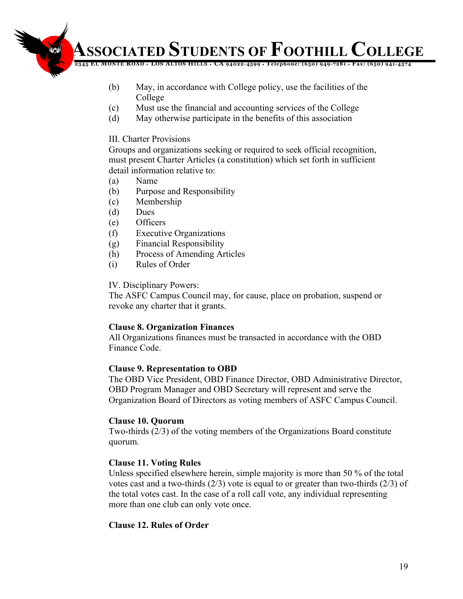**12345 EL MONTE ROAD** ♦ **LOS ALTOS HILLS** ♦ **CA 94022-4599** ♦ **Telephone: (650) 949-7281** ♦ **Fax: (650) 941-4574**

- (b) May, in accordance with College policy, use the facilities of the College
- (c) Must use the financial and accounting services of the College
- (d) May otherwise participate in the benefits of this association

#### III. Charter Provisions

Groups and organizations seeking or required to seek official recognition, must present Charter Articles (a constitution) which set forth in sufficient detail information relative to:

- (a) Name
- (b) Purpose and Responsibility
- (c) Membership
- (d) Dues
- (e) Officers
- (f) Executive Organizations
- (g) Financial Responsibility
- (h) Process of Amending Articles
- (i) Rules of Order

#### IV. Disciplinary Powers:

The ASFC Campus Council may, for cause, place on probation, suspend or revoke any charter that it grants.

#### **Clause 8. Organization Finances**

All Organizations finances must be transacted in accordance with the OBD Finance Code.

#### **Clause 9. Representation to OBD**

The OBD Vice President, OBD Finance Director, OBD Administrative Director, OBD Program Manager and OBD Secretary will represent and serve the Organization Board of Directors as voting members of ASFC Campus Council.

#### **Clause 10. Quorum**

Two-thirds (2/3) of the voting members of the Organizations Board constitute quorum.

#### **Clause 11. Voting Rules**

Unless specified elsewhere herein, simple majority is more than 50 % of the total votes cast and a two-thirds (2/3) vote is equal to or greater than two-thirds (2/3) of the total votes cast. In the case of a roll call vote, any individual representing more than one club can only vote once.

#### **Clause 12. Rules of Order**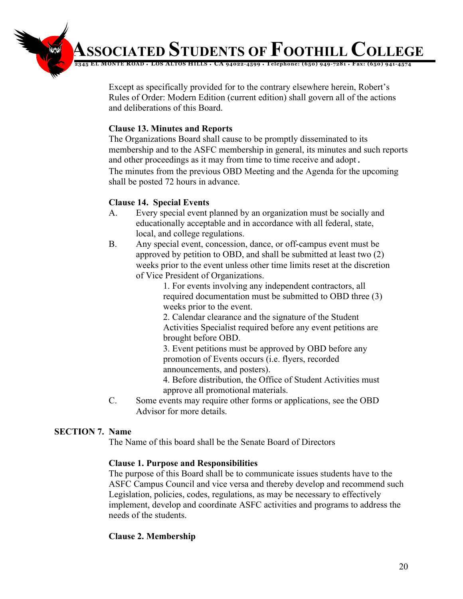**12345 EL MONTE ROAD** ♦ **LOS ALTOS HILLS** ♦ **CA 94022-4599** ♦ **Telephone: (650) 949-7281** ♦ **Fax: (650) 941-4574**

Except as specifically provided for to the contrary elsewhere herein, Robert's Rules of Order: Modern Edition (current edition) shall govern all of the actions and deliberations of this Board.

#### **Clause 13. Minutes and Reports**

The Organizations Board shall cause to be promptly disseminated to its membership and to the ASFC membership in general, its minutes and such reports and other proceedings as it may from time to time receive and adopt. The minutes from the previous OBD Meeting and the Agenda for the upcoming shall be posted 72 hours in advance.

#### **Clause 14. Special Events**

- A. Every special event planned by an organization must be socially and educationally acceptable and in accordance with all federal, state, local, and college regulations.
- B. Any special event, concession, dance, or off-campus event must be approved by petition to OBD, and shall be submitted at least two (2) weeks prior to the event unless other time limits reset at the discretion of Vice President of Organizations.

1. For events involving any independent contractors, all required documentation must be submitted to OBD three (3) weeks prior to the event.

2. Calendar clearance and the signature of the Student Activities Specialist required before any event petitions are brought before OBD.

3. Event petitions must be approved by OBD before any promotion of Events occurs (i.e. flyers, recorded announcements, and posters).

4. Before distribution, the Office of Student Activities must approve all promotional materials.

C. Some events may require other forms or applications, see the OBD Advisor for more details.

# **SECTION 7. Name**

The Name of this board shall be the Senate Board of Directors

# **Clause 1. Purpose and Responsibilities**

The purpose of this Board shall be to communicate issues students have to the ASFC Campus Council and vice versa and thereby develop and recommend such Legislation, policies, codes, regulations, as may be necessary to effectively implement, develop and coordinate ASFC activities and programs to address the needs of the students.

# **Clause 2. Membership**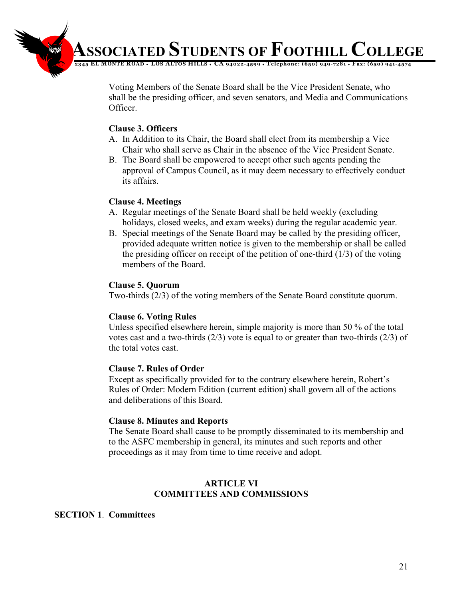

Voting Members of the Senate Board shall be the Vice President Senate, who shall be the presiding officer, and seven senators, and Media and Communications Officer.

#### **Clause 3. Officers**

- A. In Addition to its Chair, the Board shall elect from its membership a Vice Chair who shall serve as Chair in the absence of the Vice President Senate.
- B. The Board shall be empowered to accept other such agents pending the approval of Campus Council, as it may deem necessary to effectively conduct its affairs.

#### **Clause 4. Meetings**

- A. Regular meetings of the Senate Board shall be held weekly (excluding holidays, closed weeks, and exam weeks) during the regular academic year.
- B. Special meetings of the Senate Board may be called by the presiding officer, provided adequate written notice is given to the membership or shall be called the presiding officer on receipt of the petition of one-third  $(1/3)$  of the voting members of the Board.

#### **Clause 5. Quorum**

Two-thirds (2/3) of the voting members of the Senate Board constitute quorum.

#### **Clause 6. Voting Rules**

Unless specified elsewhere herein, simple majority is more than 50 % of the total votes cast and a two-thirds (2/3) vote is equal to or greater than two-thirds (2/3) of the total votes cast.

#### **Clause 7. Rules of Order**

Except as specifically provided for to the contrary elsewhere herein, Robert's Rules of Order: Modern Edition (current edition) shall govern all of the actions and deliberations of this Board.

#### **Clause 8. Minutes and Reports**

The Senate Board shall cause to be promptly disseminated to its membership and to the ASFC membership in general, its minutes and such reports and other proceedings as it may from time to time receive and adopt.

#### **ARTICLE VI COMMITTEES AND COMMISSIONS**

#### **SECTION 1**. **Committees**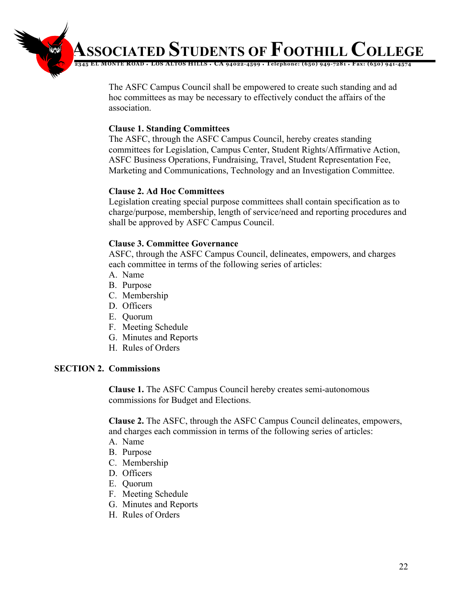**12345 EL MONTE ROAD** ♦ **LOS ALTOS HILLS** ♦ **CA 94022-4599** ♦ **Telephone: (650) 949-7281** ♦ **Fax: (650) 941-4574**

The ASFC Campus Council shall be empowered to create such standing and ad hoc committees as may be necessary to effectively conduct the affairs of the association.

#### **Clause 1. Standing Committees**

The ASFC, through the ASFC Campus Council, hereby creates standing committees for Legislation, Campus Center, Student Rights/Affirmative Action, ASFC Business Operations, Fundraising, Travel, Student Representation Fee, Marketing and Communications, Technology and an Investigation Committee.

#### **Clause 2. Ad Hoc Committees**

Legislation creating special purpose committees shall contain specification as to charge/purpose, membership, length of service/need and reporting procedures and shall be approved by ASFC Campus Council.

#### **Clause 3. Committee Governance**

ASFC, through the ASFC Campus Council, delineates, empowers, and charges each committee in terms of the following series of articles:

- A. Name
- B. Purpose
- C. Membership
- D. Officers
- E. Quorum
- F. Meeting Schedule
- G. Minutes and Reports
- H. Rules of Orders

# **SECTION 2. Commissions**

**Clause 1.** The ASFC Campus Council hereby creates semi-autonomous commissions for Budget and Elections.

**Clause 2.** The ASFC, through the ASFC Campus Council delineates, empowers, and charges each commission in terms of the following series of articles:

- A. Name
- B. Purpose
- C. Membership
- D. Officers
- E. Quorum
- F. Meeting Schedule
- G. Minutes and Reports
- H. Rules of Orders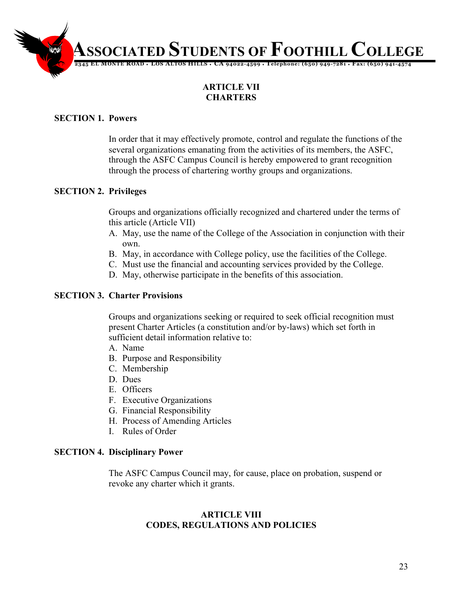

# **ARTICLE VII CHARTERS**

# **SECTION 1. Powers**

In order that it may effectively promote, control and regulate the functions of the several organizations emanating from the activities of its members, the ASFC, through the ASFC Campus Council is hereby empowered to grant recognition through the process of chartering worthy groups and organizations.

# **SECTION 2. Privileges**

Groups and organizations officially recognized and chartered under the terms of this article (Article VII)

- A. May, use the name of the College of the Association in conjunction with their own.
- B. May, in accordance with College policy, use the facilities of the College.
- C. Must use the financial and accounting services provided by the College.
- D. May, otherwise participate in the benefits of this association.

# **SECTION 3. Charter Provisions**

Groups and organizations seeking or required to seek official recognition must present Charter Articles (a constitution and/or by-laws) which set forth in sufficient detail information relative to:

- A. Name
- B. Purpose and Responsibility
- C. Membership
- D. Dues
- E. Officers
- F. Executive Organizations
- G. Financial Responsibility
- H. Process of Amending Articles
- I. Rules of Order

#### **SECTION 4. Disciplinary Power**

The ASFC Campus Council may, for cause, place on probation, suspend or revoke any charter which it grants.

#### **ARTICLE VIII CODES, REGULATIONS AND POLICIES**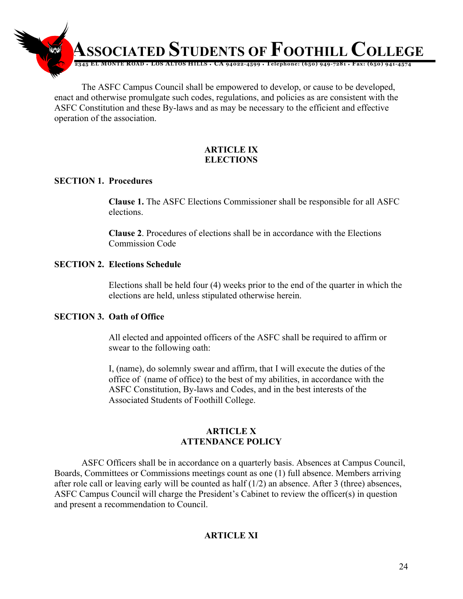

The ASFC Campus Council shall be empowered to develop, or cause to be developed, enact and otherwise promulgate such codes, regulations, and policies as are consistent with the ASFC Constitution and these By-laws and as may be necessary to the efficient and effective operation of the association.

# **ARTICLE IX ELECTIONS**

# **SECTION 1. Procedures**

**Clause 1.** The ASFC Elections Commissioner shall be responsible for all ASFC elections.

**Clause 2**. Procedures of elections shall be in accordance with the Elections Commission Code

# **SECTION 2. Elections Schedule**

Elections shall be held four (4) weeks prior to the end of the quarter in which the elections are held, unless stipulated otherwise herein.

# **SECTION 3. Oath of Office**

All elected and appointed officers of the ASFC shall be required to affirm or swear to the following oath:

I, (name), do solemnly swear and affirm, that I will execute the duties of the office of (name of office) to the best of my abilities, in accordance with the ASFC Constitution, By-laws and Codes, and in the best interests of the Associated Students of Foothill College.

#### **ARTICLE X ATTENDANCE POLICY**

ASFC Officers shall be in accordance on a quarterly basis. Absences at Campus Council, Boards, Committees or Commissions meetings count as one (1) full absence. Members arriving after role call or leaving early will be counted as half (1/2) an absence. After 3 (three) absences, ASFC Campus Council will charge the President's Cabinet to review the officer(s) in question and present a recommendation to Council.

# **ARTICLE XI**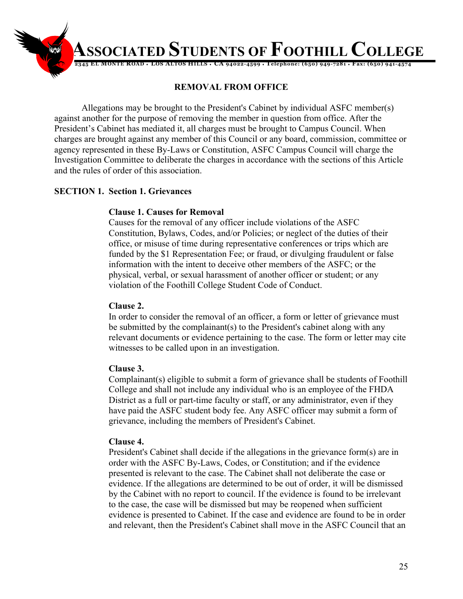

# **REMOVAL FROM OFFICE**

Allegations may be brought to the President's Cabinet by individual ASFC member(s) against another for the purpose of removing the member in question from office. After the President's Cabinet has mediated it, all charges must be brought to Campus Council. When charges are brought against any member of this Council or any board, commission, committee or agency represented in these By-Laws or Constitution, ASFC Campus Council will charge the Investigation Committee to deliberate the charges in accordance with the sections of this Article and the rules of order of this association.

# **SECTION 1. Section 1. Grievances**

# **Clause 1. Causes for Removal**

Causes for the removal of any officer include violations of the ASFC Constitution, Bylaws, Codes, and/or Policies; or neglect of the duties of their office, or misuse of time during representative conferences or trips which are funded by the \$1 Representation Fee; or fraud, or divulging fraudulent or false information with the intent to deceive other members of the ASFC; or the physical, verbal, or sexual harassment of another officer or student; or any violation of the Foothill College Student Code of Conduct.

# **Clause 2.**

In order to consider the removal of an officer, a form or letter of grievance must be submitted by the complainant(s) to the President's cabinet along with any relevant documents or evidence pertaining to the case. The form or letter may cite witnesses to be called upon in an investigation.

# **Clause 3.**

Complainant(s) eligible to submit a form of grievance shall be students of Foothill College and shall not include any individual who is an employee of the FHDA District as a full or part-time faculty or staff, or any administrator, even if they have paid the ASFC student body fee. Any ASFC officer may submit a form of grievance, including the members of President's Cabinet.

# **Clause 4.**

President's Cabinet shall decide if the allegations in the grievance form(s) are in order with the ASFC By-Laws, Codes, or Constitution; and if the evidence presented is relevant to the case. The Cabinet shall not deliberate the case or evidence. If the allegations are determined to be out of order, it will be dismissed by the Cabinet with no report to council. If the evidence is found to be irrelevant to the case, the case will be dismissed but may be reopened when sufficient evidence is presented to Cabinet. If the case and evidence are found to be in order and relevant, then the President's Cabinet shall move in the ASFC Council that an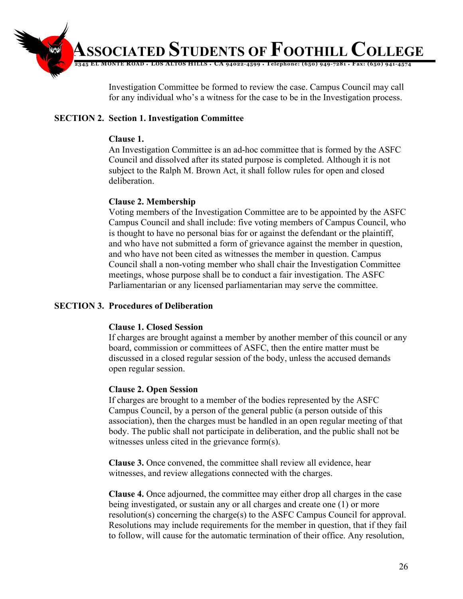

Investigation Committee be formed to review the case. Campus Council may call for any individual who's a witness for the case to be in the Investigation process.

# **SECTION 2. Section 1. Investigation Committee**

# **Clause 1.**

An Investigation Committee is an ad-hoc committee that is formed by the ASFC Council and dissolved after its stated purpose is completed. Although it is not subject to the Ralph M. Brown Act, it shall follow rules for open and closed deliberation.

# **Clause 2. Membership**

Voting members of the Investigation Committee are to be appointed by the ASFC Campus Council and shall include: five voting members of Campus Council, who is thought to have no personal bias for or against the defendant or the plaintiff, and who have not submitted a form of grievance against the member in question, and who have not been cited as witnesses the member in question. Campus Council shall a non-voting member who shall chair the Investigation Committee meetings, whose purpose shall be to conduct a fair investigation. The ASFC Parliamentarian or any licensed parliamentarian may serve the committee.

# **SECTION 3. Procedures of Deliberation**

# **Clause 1. Closed Session**

If charges are brought against a member by another member of this council or any board, commission or committees of ASFC, then the entire matter must be discussed in a closed regular session of the body, unless the accused demands open regular session.

# **Clause 2. Open Session**

If charges are brought to a member of the bodies represented by the ASFC Campus Council, by a person of the general public (a person outside of this association), then the charges must be handled in an open regular meeting of that body. The public shall not participate in deliberation, and the public shall not be witnesses unless cited in the grievance form(s).

**Clause 3.** Once convened, the committee shall review all evidence, hear witnesses, and review allegations connected with the charges.

**Clause 4.** Once adjourned, the committee may either drop all charges in the case being investigated, or sustain any or all charges and create one (1) or more resolution(s) concerning the charge(s) to the ASFC Campus Council for approval. Resolutions may include requirements for the member in question, that if they fail to follow, will cause for the automatic termination of their office. Any resolution,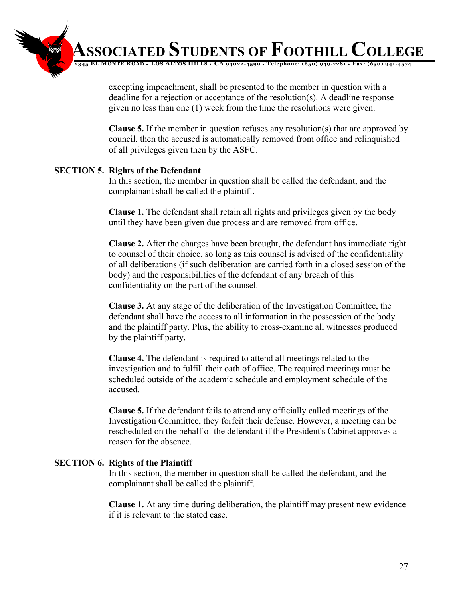**12345 EL MONTE ROAD** ♦ **LOS ALTOS HILLS** ♦ **CA 94022-4599** ♦ **Telephone: (650) 949-7281** ♦ **Fax: (650) 941-4574 ASSOCIATED STUDENTS OF FOOTHILL COLLEGE**

> excepting impeachment, shall be presented to the member in question with a deadline for a rejection or acceptance of the resolution(s). A deadline response given no less than one (1) week from the time the resolutions were given.

**Clause 5.** If the member in question refuses any resolution(s) that are approved by council, then the accused is automatically removed from office and relinquished of all privileges given then by the ASFC.

# **SECTION 5. Rights of the Defendant**

In this section, the member in question shall be called the defendant, and the complainant shall be called the plaintiff.

**Clause 1.** The defendant shall retain all rights and privileges given by the body until they have been given due process and are removed from office.

**Clause 2.** After the charges have been brought, the defendant has immediate right to counsel of their choice, so long as this counsel is advised of the confidentiality of all deliberations (if such deliberation are carried forth in a closed session of the body) and the responsibilities of the defendant of any breach of this confidentiality on the part of the counsel.

**Clause 3.** At any stage of the deliberation of the Investigation Committee, the defendant shall have the access to all information in the possession of the body and the plaintiff party. Plus, the ability to cross-examine all witnesses produced by the plaintiff party.

**Clause 4.** The defendant is required to attend all meetings related to the investigation and to fulfill their oath of office. The required meetings must be scheduled outside of the academic schedule and employment schedule of the accused.

**Clause 5.** If the defendant fails to attend any officially called meetings of the Investigation Committee, they forfeit their defense. However, a meeting can be rescheduled on the behalf of the defendant if the President's Cabinet approves a reason for the absence.

#### **SECTION 6. Rights of the Plaintiff**

In this section, the member in question shall be called the defendant, and the complainant shall be called the plaintiff.

**Clause 1.** At any time during deliberation, the plaintiff may present new evidence if it is relevant to the stated case.